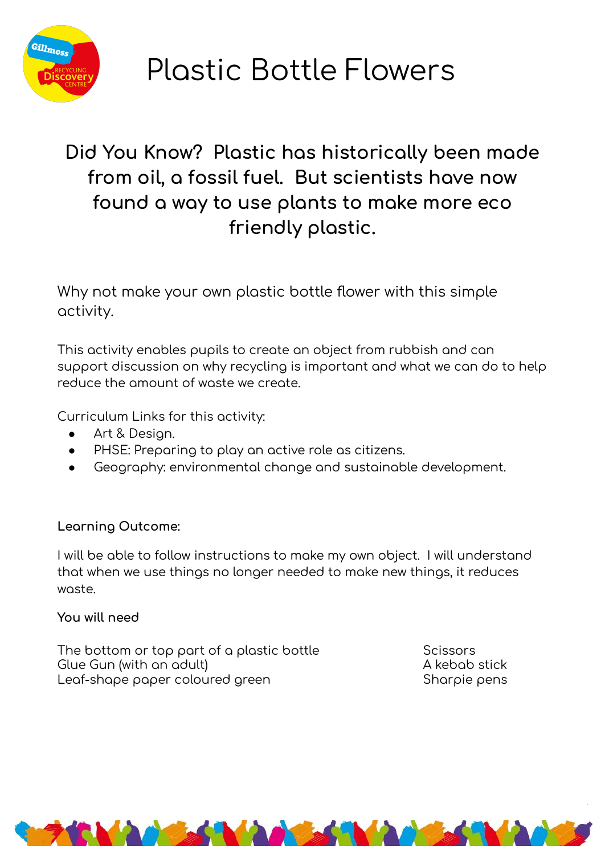

**Plastic Bottle Flowers** 

### Did You Know? Plastic has historically been made from oil, a fossil fuel. But scientists have now found a way to use plants to make more eco friendly plastic.

Why not make your own plastic bottle flower with this simple activity.

This activity enables pupils to create an object from rubbish and can support discussion on why recycling is important and what we can do to help reduce the amount of waste we create.

Curriculum Links for this activity:

- Art & Design.
- PHSE: Preparing to play an active role as citizens.
- Geography: environmental change and sustainable development.

#### Learning Outcome:

I will be able to follow instructions to make my own object. I will understand that when we use things no longer needed to make new things, it reduces waste.

**MADVESTINADVES** 

#### You will need

The bottom or top part of a plastic bottle Glue Gun (with an adult) Leaf-shape paper coloured green

**ACTS** 

**Scissors** A kebab stick Sharpie pens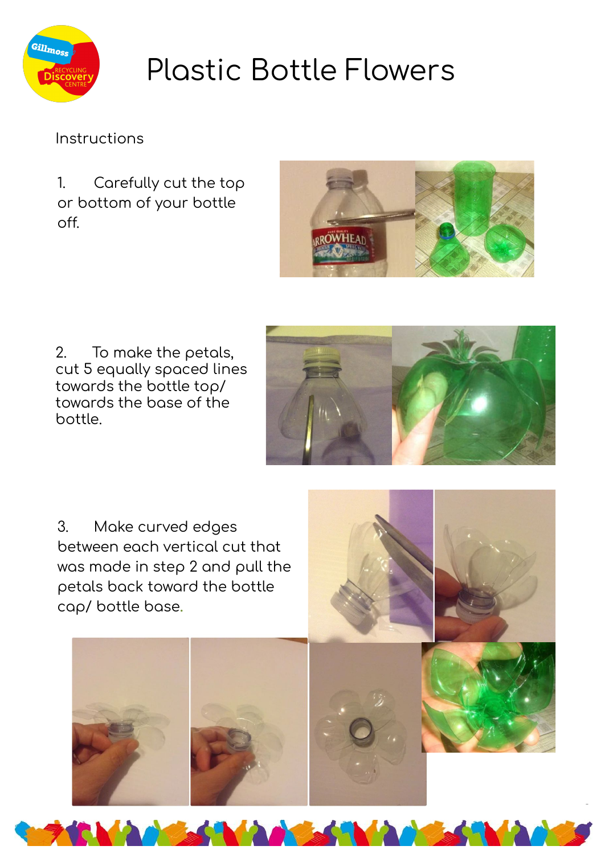

# Plastic Bottle Flowers

### Instructions

1. Carefully cut the top or bottom of your bottle off.



2. To make the petals, cut 5 equally spaced lines towards the bottle top/ towards the base of the bottle.



3. Make curved edges between each vertical cut that was made in step 2 and pull the petals back toward the bottle cap/ bottle base**.**

**DESSENTA** 



**The Second Second** 

2